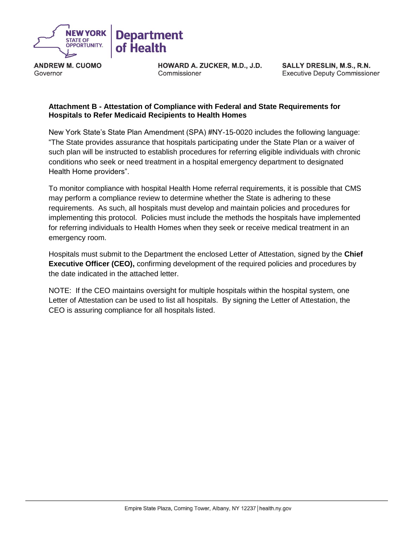

**ANDREW M. CUOMO** Governor

HOWARD A. ZUCKER, M.D., J.D. Commissioner

SALLY DRESLIN, M.S., R.N. **Executive Deputy Commissioner** 

## **Attachment B - Attestation of Compliance with Federal and State Requirements for Hospitals to Refer Medicaid Recipients to Health Homes**

New York State's State Plan Amendment (SPA) #NY-15-0020 includes the following language: "The State provides assurance that hospitals participating under the State Plan or a waiver of such plan will be instructed to establish procedures for referring eligible individuals with chronic conditions who seek or need treatment in a hospital emergency department to designated Health Home providers".

To monitor compliance with hospital Health Home referral requirements, it is possible that CMS may perform a compliance review to determine whether the State is adhering to these requirements. As such, all hospitals must develop and maintain policies and procedures for implementing this protocol. Policies must include the methods the hospitals have implemented for referring individuals to Health Homes when they seek or receive medical treatment in an emergency room.

Hospitals must submit to the Department the enclosed Letter of Attestation, signed by the **Chief Executive Officer (CEO),** confirming development of the required policies and procedures by the date indicated in the attached letter.

NOTE: If the CEO maintains oversight for multiple hospitals within the hospital system, one Letter of Attestation can be used to list all hospitals. By signing the Letter of Attestation, the CEO is assuring compliance for all hospitals listed.